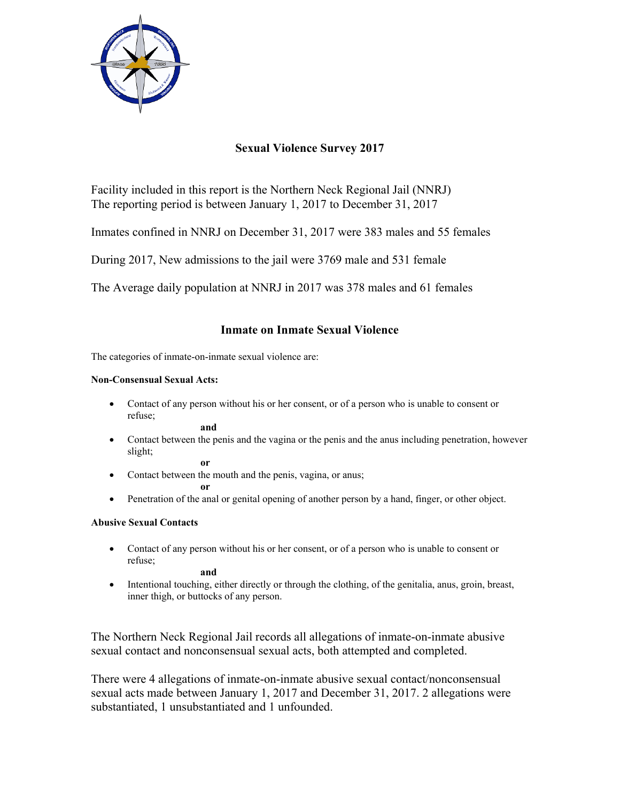

# **Sexual Violence Survey 2017**

Facility included in this report is the Northern Neck Regional Jail (NNRJ) The reporting period is between January 1, 2017 to December 31, 2017

Inmates confined in NNRJ on December 31, 2017 were 383 males and 55 females

During 2017, New admissions to the jail were 3769 male and 531 female

The Average daily population at NNRJ in 2017 was 378 males and 61 females

## **Inmate on Inmate Sexual Violence**

The categories of inmate-on-inmate sexual violence are:

### **Non-Consensual Sexual Acts:**

 Contact of any person without his or her consent, or of a person who is unable to consent or refuse;

**and**

 Contact between the penis and the vagina or the penis and the anus including penetration, however slight;

**or** 

• Contact between the mouth and the penis, vagina, or anus;

**or** 

• Penetration of the anal or genital opening of another person by a hand, finger, or other object.

## **Abusive Sexual Contacts**

 Contact of any person without his or her consent, or of a person who is unable to consent or refuse;

**and** 

 Intentional touching, either directly or through the clothing, of the genitalia, anus, groin, breast, inner thigh, or buttocks of any person.

The Northern Neck Regional Jail records all allegations of inmate-on-inmate abusive sexual contact and nonconsensual sexual acts, both attempted and completed.

There were 4 allegations of inmate-on-inmate abusive sexual contact/nonconsensual sexual acts made between January 1, 2017 and December 31, 2017. 2 allegations were substantiated, 1 unsubstantiated and 1 unfounded.